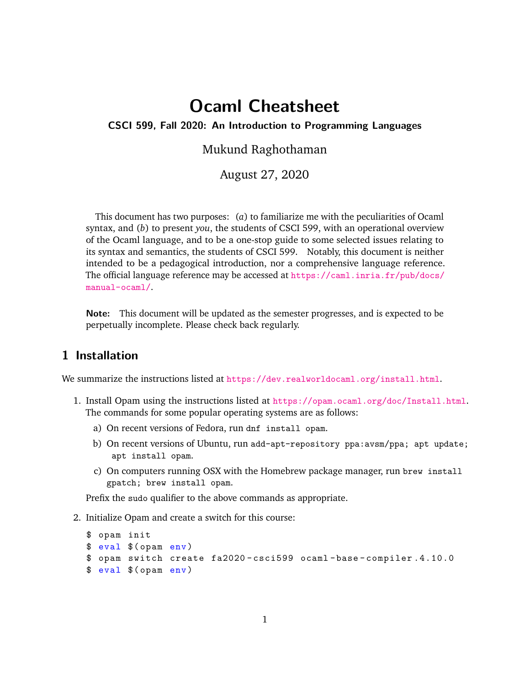# **Ocaml Cheatsheet**

#### **CSCI 599, Fall 2020: An Introduction to Programming Languages**

## Mukund Raghothaman

August 27, 2020

This document has two purposes: (*a*) to familiarize me with the peculiarities of Ocaml syntax, and (*b*) to present *you*, the students of CSCI 599, with an operational overview of the Ocaml language, and to be a one-stop guide to some selected issues relating to its syntax and semantics, the students of CSCI 599. Notably, this document is neither intended to be a pedagogical introduction, nor a comprehensive language reference. The official language reference may be accessed at [https://caml.inria.fr/pub/docs/](https://caml.inria.fr/pub/docs/manual-ocaml/) [manual-ocaml/](https://caml.inria.fr/pub/docs/manual-ocaml/).

**Note:** This document will be updated as the semester progresses, and is expected to be perpetually incomplete. Please check back regularly.

#### **1 Installation**

We summarize the instructions listed at <https://dev.realworldocaml.org/install.html>.

- 1. Install Opam using the instructions listed at <https://opam.ocaml.org/doc/Install.html>. The commands for some popular operating systems are as follows:
	- a) On recent versions of Fedora, run dnf install opam.
	- b) On recent versions of Ubuntu, run add-apt-repository ppa:avsm/ppa; apt update; apt install opam.
	- c) On computers running OSX with the Homebrew package manager, run brew install gpatch; brew install opam.

Prefix the sudo qualifier to the above commands as appropriate.

2. Initialize Opam and create a switch for this course:

```
$ opam init
$ eval $ (opam env)
$ opam switch create fa2020 - csci599 ocaml - base - compiler .4.10.0
$ eval $ (opam env)
```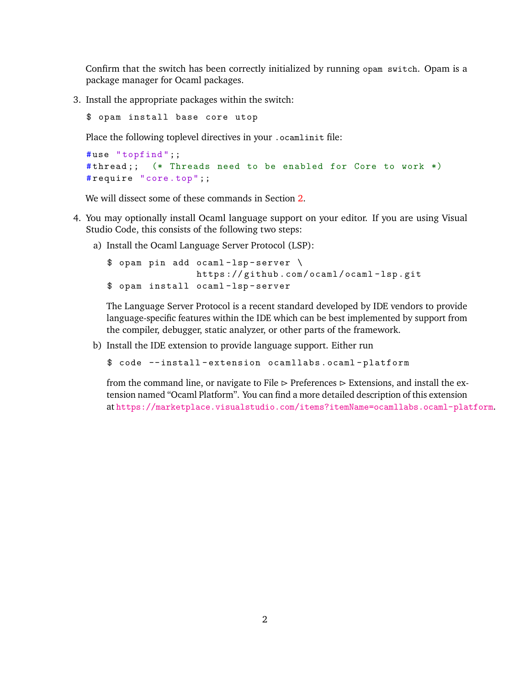Confirm that the switch has been correctly initialized by running opam switch. Opam is a package manager for Ocaml packages.

3. Install the appropriate packages within the switch:

\$ opam install base core utop

Place the following toplevel directives in your .ocamlinit file:

```
#use "topfind";;
#thread;; (* Threads need to be enabled for Core to work *)
# require " core . top";;
```
We will dissect some of these commands in Section [2.](#page-2-0)

- 4. You may optionally install Ocaml language support on your editor. If you are using Visual Studio Code, this consists of the following two steps:
	- a) Install the Ocaml Language Server Protocol (LSP):

```
$ opam pin add ocaml-lsp-server \
                 https :// github . com / ocaml / ocaml - lsp . git
$ opam install ocaml-lsp-server
```
The Language Server Protocol is a recent standard developed by IDE vendors to provide language-specific features within the IDE which can be best implemented by support from the compiler, debugger, static analyzer, or other parts of the framework.

b) Install the IDE extension to provide language support. Either run

```
$ code -- install - extension ocamllabs . ocaml - platform
```
from the command line, or navigate to File  $\triangleright$  Preferences  $\triangleright$  Extensions, and install the extension named "Ocaml Platform". You can find a more detailed description of this extension at <https://marketplace.visualstudio.com/items?itemName=ocamllabs.ocaml-platform>.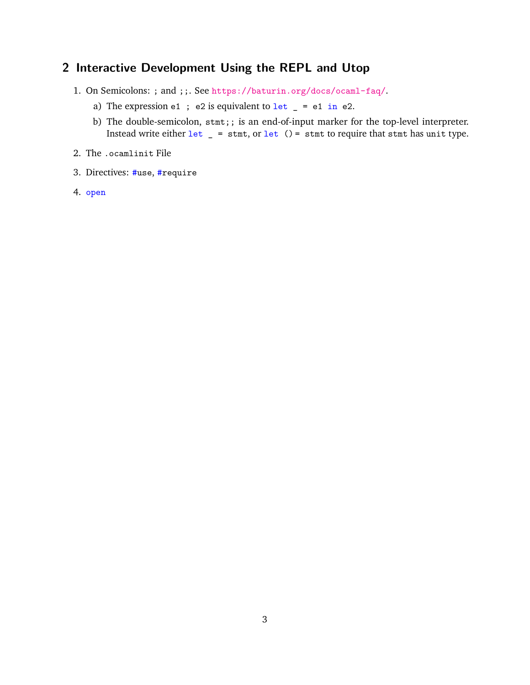### <span id="page-2-0"></span>**2 Interactive Development Using the REPL and Utop**

- 1. On Semicolons: ; and ;;. See <https://baturin.org/docs/ocaml-faq/>.
	- a) The expression e1 ; e2 is equivalent to  $let$  = e1 in e2.
	- b) The double-semicolon, stmt;; is an end-of-input marker for the top-level interpreter. Instead write either  $let \_ = start$ , or  $let() = start$  to require that stmt has unit type.
- 2. The .ocamlinit File
- 3. Directives: #use, #require
- 4. open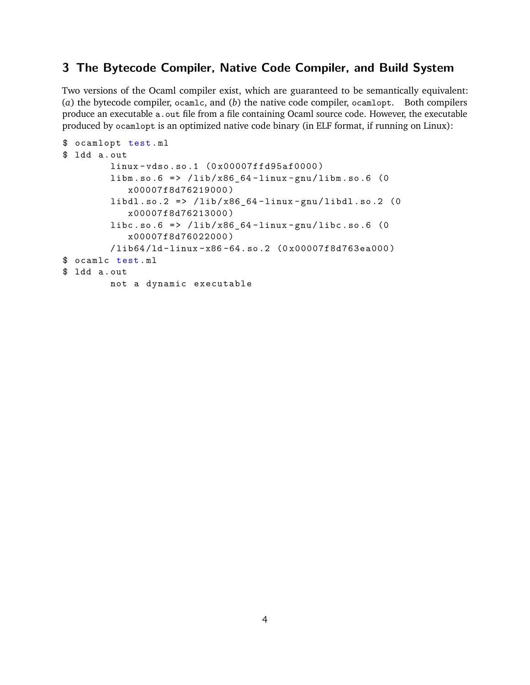### **3 The Bytecode Compiler, Native Code Compiler, and Build System**

Two versions of the Ocaml compiler exist, which are guaranteed to be semantically equivalent: (*a*) the bytecode compiler, ocamlc, and (*b*) the native code compiler, ocamlopt. Both compilers produce an executable a.out file from a file containing Ocaml source code. However, the executable produced by ocamlopt is an optimized native code binary (in ELF format, if running on Linux):

```
$ ocamlopt test . ml
$ ldd a . out
         linux - vdso . so .1 (0 x00007ffd95af0000 )
         \lim_{x \to 0} .so .6 => /lib/x86_64-linux-gnu/libm.so.6 (0
            x00007f8d76219000 )
         libd1.so.2 => /lib/x86_64-linux-gnu/libd1.so.2 (0
            x00007f8d76213000 )
         libc.so.6 => /lib/x86_64-linux-gnu/libc.so.6 (0
            x00007f8d76022000 )
         / lib64 / ld - linux - x86 -64. so .2 (0 x00007f8d763ea000 )
$ ocamlc test . ml
$ ldd a . out
         not a dynamic executable
```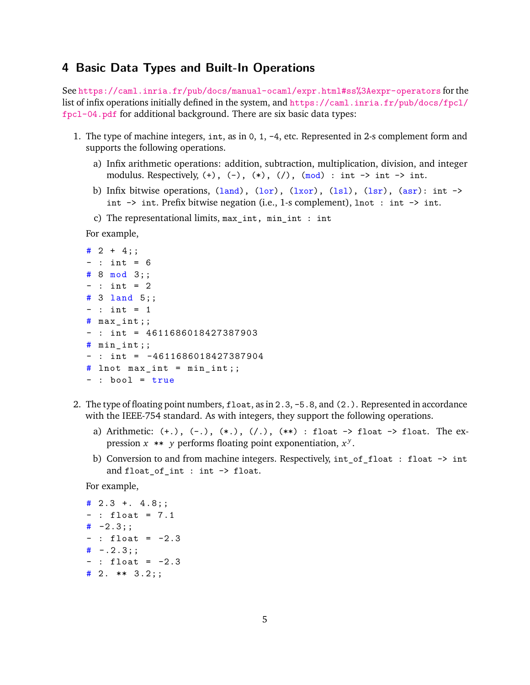#### **4 Basic Data Types and Built-In Operations**

See <https://caml.inria.fr/pub/docs/manual-ocaml/expr.html#ss%3Aexpr-operators> for the list of infix operations initially defined in the system, and [https://caml.inria.fr/pub/docs/fpcl/](https://caml.inria.fr/pub/docs/fpcl/fpcl-04.pdf) [fpcl-04.pdf](https://caml.inria.fr/pub/docs/fpcl/fpcl-04.pdf) for additional background. There are six basic data types:

- 1. The type of machine integers, int, as in 0, 1, -4, etc. Represented in 2-s complement form and supports the following operations.
	- a) Infix arithmetic operations: addition, subtraction, multiplication, division, and integer modulus. Respectively,  $(+)$ ,  $(-)$ ,  $(*)$ ,  $(')$ ,  $(mod)$ : int  $\rightarrow$  int  $\rightarrow$  int.
	- b) Infix bitwise operations,  $(land)$ ,  $(lor)$ ,  $(lxor)$ ,  $(lsl)$ ,  $(lsr)$ ,  $(asr)$ : int -> int -> int. Prefix bitwise negation (i.e., 1-s complement), lnot : int -> int.
	- c) The representational limits, max\_int, min\_int : int

For example,

```
# 2 + 4;;
- : int = 6# 8 mod 3;;
- : int = 2
# 3 land 5;;
- : int = 1# max_int ;;
-: int = 4611686018427387903
# min_int;;
- : int = -4611686018427387904# lnot max_int = min_int;;
- : bool = true
```
- 2. The type of floating point numbers, float, as in 2.3, -5.8, and (2.). Represented in accordance with the IEEE-754 standard. As with integers, they support the following operations.
	- a) Arithmetic:  $(+,), (-,), (*,), (/.),$   $(**)$  : float  $\rightarrow$  float  $\rightarrow$  float. The expression *x* \*\* *y* performs floating point exponentiation, *x y* .
	- b) Conversion to and from machine integers. Respectively, int\_of\_float : float -> int and float\_of\_int : int -> float.

For example,

```
\sharp 2.3 +. 4.8;;
- : float = 7.1# -2.3;;
- : float = -2.3# -.2.3;;
- : float = -2.3# 2. ** 3.2;
```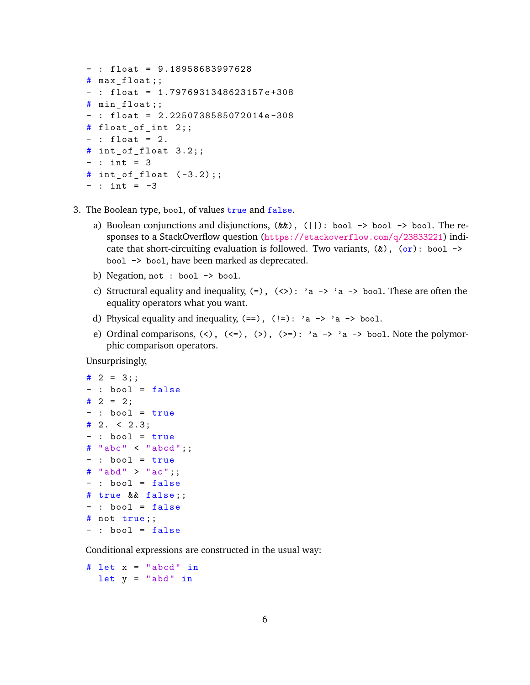```
- : float = 9.18958683997628
# max_float ;;
- : float = 1.7976931348623157e+308
# min_float ;;
- : float = 2.2250738585072014e-308
# float_of_int 2;;
- : float = 2.
# int_of_float 3.2;;
- : int = 3
# int_of_f loat (-3.2);;
- : int = -3
```
3. The Boolean type, bool, of values true and false.

- a) Boolean conjunctions and disjunctions,  $(kk)$ ,  $(|)$ : bool -> bool -> bool. The responses to a StackOverflow question (<https://stackoverflow.com/q/23833221>) indicate that short-circuiting evaluation is followed. Two variants,  $(k)$ ,  $(or)$ : bool -> bool -> bool, have been marked as deprecated.
- b) Negation, not : bool -> bool.
- c) Structural equality and inequality,  $(=)$ ,  $(\le)$ : 'a -> 'a -> bool. These are often the equality operators what you want.
- d) Physical equality and inequality,  $(==)$ ,  $(!=): 'a -> 'a -> bool.$
- e) Ordinal comparisons,  $(\langle \rangle, \langle \langle = \rangle, \langle \rangle)$ ,  $(\rangle =)$ : 'a -> 'a -> bool. Note the polymorphic comparison operators.

Unsurprisingly,

```
# 2 = 3;- : bool = false
# 2 = 2;- : bool = true# 2. < 2.3;- : bool = true# "abc " < " abcd ";;
- : bool = true# "abd" > "ac";;
- : bool = false
# true && false;;
- : bool = false
# not true;;
- : bool = false
```
Conditional expressions are constructed in the usual way:

```
# let x = "abcd" in
 let y = "abd" in
```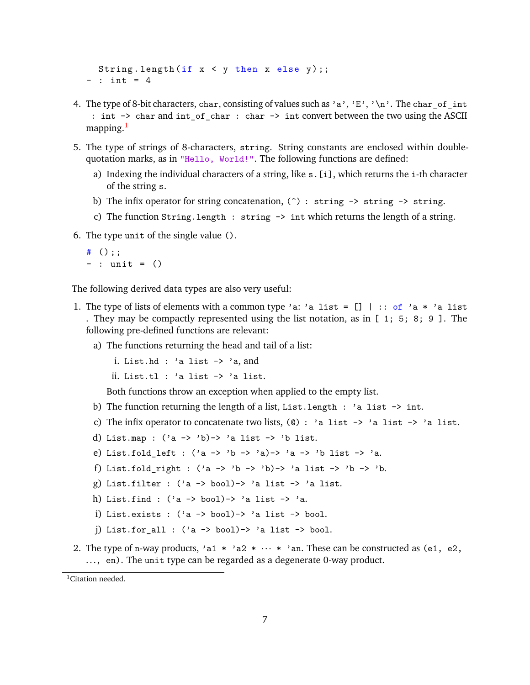String . length (if  $x < y$  then  $x$  else  $y$ );;  $-$  : int = 4

- 4. The type of 8-bit characters, char, consisting of values such as 'a', 'E', '\n'. The char\_of\_int : int -> char and int\_of\_char : char -> int convert between the two using the ASCII mapping.<sup>[1](#page-6-0)</sup>
- 5. The type of strings of 8-characters, string. String constants are enclosed within doublequotation marks, as in "Hello, World!". The following functions are defined:
	- a) Indexing the individual characters of a string, like  $s$ . [i], which returns the i-th character of the string s.
	- b) The infix operator for string concatenation,  $(2)$  : string  $-$ > string  $-$ > string.
	- c) The function String.length : string -> int which returns the length of a string.
- 6. The type unit of the single value ().
	- # () ;;  $-$  : unit =  $()$

The following derived data types are also very useful:

- 1. The type of lists of elements with a common type 'a: 'a list =  $[] \mid : :$  of 'a \* 'a list . They may be compactly represented using the list notation, as in [ 1; 5; 8; 9 ]. The following pre-defined functions are relevant:
	- a) The functions returning the head and tail of a list:

i. List.hd : 'a list -> 'a, and

ii. List.tl : 'a list -> 'a list.

Both functions throw an exception when applied to the empty list.

- b) The function returning the length of a list, List.length : 'a list  $\rightarrow$  int.
- c) The infix operator to concatenate two lists,  $(\mathbb{Q})$  : 'a list  $\rightarrow$ ' a list  $\rightarrow$ ' a list.
- d) List.map :  $('a \rightarrow 'b) \rightarrow 'a$  list  $\rightarrow 'b$  list.
- e) List.fold left :  $('a \rightarrow 'b \rightarrow 'a) \rightarrow 'a \rightarrow 'b$  list  $\rightarrow 'a$ .
- f) List.fold\_right : ('a -> 'b -> 'b)-> 'a list -> 'b -> 'b.
- g) List.filter :  $('a \rightarrow bool) \rightarrow 'a$  list  $\rightarrow 'a$  list.
- h) List.find : ('a -> bool)-> 'a list -> 'a.
- i) List.exists :  $('a \rightarrow bool) \rightarrow 'a$  list  $\rightarrow bool$ .
- j) List.for\_all :  $('a \rightarrow bool) \rightarrow 'a$  list  $\rightarrow bool$ .
- 2. The type of n-way products, 'a1  $*$  'a2  $* \cdots *$  'an. These can be constructed as (e1, e2, ..., en). The unit type can be regarded as a degenerate 0-way product.

<span id="page-6-0"></span><sup>&</sup>lt;sup>1</sup>Citation needed.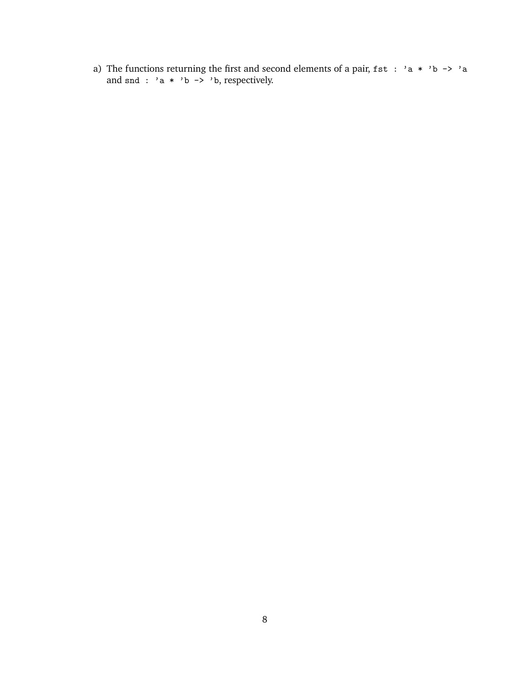a) The functions returning the first and second elements of a pair,  $fst : 'a * 'b -> 'a$ and snd :  $a * b \rightarrow b$ , respectively.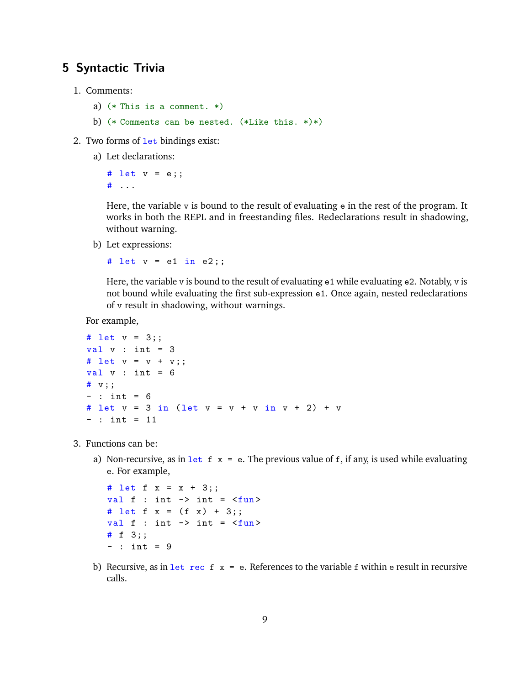### **5 Syntactic Trivia**

- 1. Comments:
	- a) (\* This is a comment. \*)
	- b) (\* Comments can be nested. (\*Like this. \*)\*)
- 2. Two forms of let bindings exist:
	- a) Let declarations:
		- # let  $v = e$ ;;  $#$  ...

Here, the variable v is bound to the result of evaluating e in the rest of the program. It works in both the REPL and in freestanding files. Redeclarations result in shadowing, without warning.

b) Let expressions:

# let  $v = e1$  in  $e2$ ;;

Here, the variable v is bound to the result of evaluating e1 while evaluating e2. Notably, v is not bound while evaluating the first sub-expression e1. Once again, nested redeclarations of v result in shadowing, without warnings.

For example,

```
# let v = 3;;
val v : int = 3# let v = v + v;;
val v : int = 6# v ;;
- : int = 6
# let v = 3 in (let v = v + v in v + 2) + v
- : int = 11
```
- 3. Functions can be:
	- a) Non-recursive, as in let f  $x = e$ . The previous value of f, if any, is used while evaluating e. For example,

```
# let f(x) = x + 3;;
val f : int \rightarrow int = \langle fun \rangle# let f x = (f x) + 3;;
val f : int \rightarrow int = \langle fun \rangle# f 3;;
- : int = 9
```
b) Recursive, as in let rec f  $x = e$ . References to the variable f within e result in recursive calls.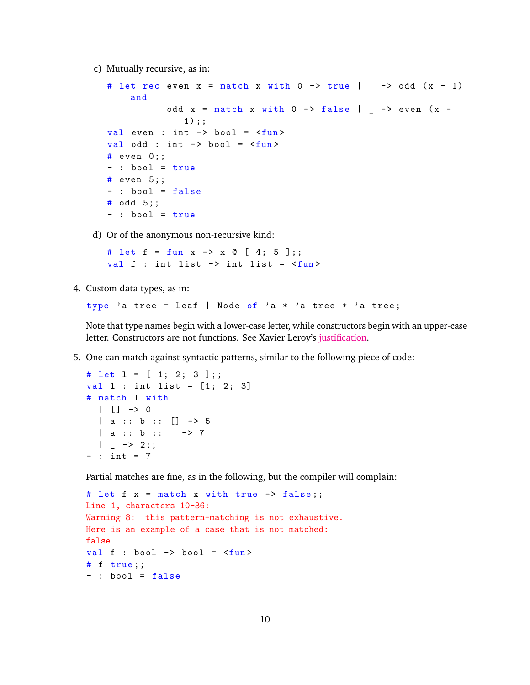c) Mutually recursive, as in:

```
# let rec even x = match x with 0 \rightarrow true | - -> odd (x - 1)and
            odd x = match x with 0 \rightarrow false | _ -> even (x -1) : :
val even : int \rightarrow bool = \langlefun>
val odd : int \rightarrow bool = \langlefun>
# even 0;;
- : bool = true# even 5;;
- : bool = false
# odd 5;;
- : bool = true
```
d) Or of the anonymous non-recursive kind:

# let  $f = fun x \rightarrow x \circ [4; 5];$ val f : int list  $\rightarrow$  int list =  $\langle$ fun>

4. Custom data types, as in:

```
type 'a tree = Leaf | Node of 'a * 'a tree * 'a tree;
```
Note that type names begin with a lower-case letter, while constructors begin with an upper-case letter. Constructors are not functions. See Xavier Leroy's [justification.](http://caml.inria.fr/pub/ml-archives/caml-list/2001/08/47db53a4b42529708647c9e81183598b.fr.html)

5. One can match against syntactic patterns, similar to the following piece of code:

```
# let l = [ 1; 2; 3];val l : int list = [1; 2; 3]
# match l with
 | [] -> 0
  | a :: b :: [] -> 5
  | a :: b :: _ -> 7
 | \rightarrow 2;;
- : int = 7
```
Partial matches are fine, as in the following, but the compiler will complain:

```
# let f x = match x with true -> false;;
Line 1, characters 10-36:
Warning 8: this pattern-matching is not exhaustive.
Here is an example of a case that is not matched:
false
val f : bool \rightarrow bool = \langle fun \rangle# f true ;;
- : bool = false
```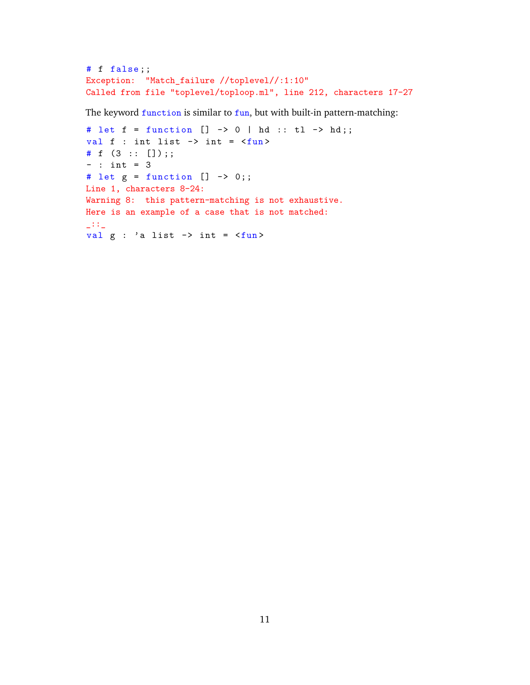```
# f false ;;
Exception: "Match_failure //toplevel//:1:10"
Called from file "toplevel/toploop.ml", line 212, characters 17-27
```
The keyword function is similar to fun, but with built-in pattern-matching:

```
# let f = function [] -> 0 | hd :: tl -> hd ;;
val f : int list \rightarrow int = \langlefun>
# f (3 :: []);- : int = 3
# let g = function [] \rightarrow 0;;
Line 1, characters 8-24:
Warning 8: this pattern-matching is not exhaustive.
Here is an example of a case that is not matched:
\pm : \pmval g : 'a list \rightarrow int = \langlefun>
```